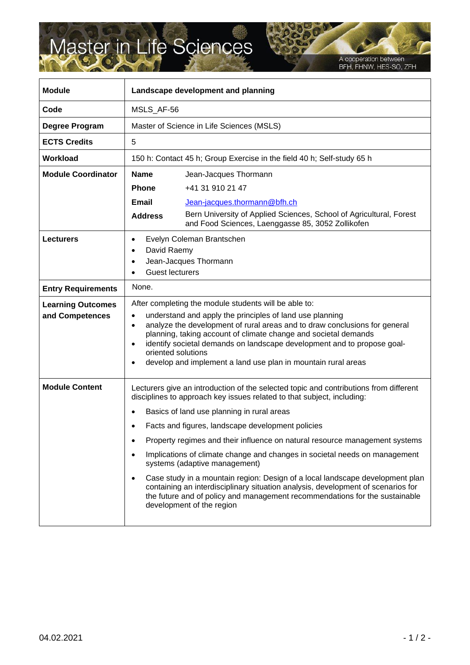## Master in Life Sciences

A cooperation between<br>BFH, FHNW, HES-SO, ZFH

| <b>Module</b>                               | Landscape development and planning                                                                                                                                                                                                                                                                                                                                                                                                                                                                                                                                                                                                                                                                                                                     |
|---------------------------------------------|--------------------------------------------------------------------------------------------------------------------------------------------------------------------------------------------------------------------------------------------------------------------------------------------------------------------------------------------------------------------------------------------------------------------------------------------------------------------------------------------------------------------------------------------------------------------------------------------------------------------------------------------------------------------------------------------------------------------------------------------------------|
| Code                                        | MSLS_AF-56                                                                                                                                                                                                                                                                                                                                                                                                                                                                                                                                                                                                                                                                                                                                             |
| Degree Program                              | Master of Science in Life Sciences (MSLS)                                                                                                                                                                                                                                                                                                                                                                                                                                                                                                                                                                                                                                                                                                              |
| <b>ECTS Credits</b>                         | 5                                                                                                                                                                                                                                                                                                                                                                                                                                                                                                                                                                                                                                                                                                                                                      |
| Workload                                    | 150 h: Contact 45 h; Group Exercise in the field 40 h; Self-study 65 h                                                                                                                                                                                                                                                                                                                                                                                                                                                                                                                                                                                                                                                                                 |
| <b>Module Coordinator</b>                   | <b>Name</b><br>Jean-Jacques Thormann                                                                                                                                                                                                                                                                                                                                                                                                                                                                                                                                                                                                                                                                                                                   |
|                                             | <b>Phone</b><br>+41 31 910 21 47                                                                                                                                                                                                                                                                                                                                                                                                                                                                                                                                                                                                                                                                                                                       |
|                                             | Email<br>Jean-jacques.thormann@bfh.ch                                                                                                                                                                                                                                                                                                                                                                                                                                                                                                                                                                                                                                                                                                                  |
|                                             | Bern University of Applied Sciences, School of Agricultural, Forest<br><b>Address</b><br>and Food Sciences, Laenggasse 85, 3052 Zollikofen                                                                                                                                                                                                                                                                                                                                                                                                                                                                                                                                                                                                             |
| <b>Lecturers</b>                            | Evelyn Coleman Brantschen<br>David Raemy<br>$\bullet$<br>Jean-Jacques Thormann<br><b>Guest lecturers</b>                                                                                                                                                                                                                                                                                                                                                                                                                                                                                                                                                                                                                                               |
| <b>Entry Requirements</b>                   | None.                                                                                                                                                                                                                                                                                                                                                                                                                                                                                                                                                                                                                                                                                                                                                  |
| <b>Learning Outcomes</b><br>and Competences | After completing the module students will be able to:<br>understand and apply the principles of land use planning<br>٠<br>analyze the development of rural areas and to draw conclusions for general<br>$\bullet$<br>planning, taking account of climate change and societal demands<br>identify societal demands on landscape development and to propose goal-<br>oriented solutions<br>develop and implement a land use plan in mountain rural areas                                                                                                                                                                                                                                                                                                 |
| <b>Module Content</b>                       | Lecturers give an introduction of the selected topic and contributions from different<br>disciplines to approach key issues related to that subject, including:<br>Basics of land use planning in rural areas<br>Facts and figures, landscape development policies<br>Property regimes and their influence on natural resource management systems<br>Implications of climate change and changes in societal needs on management<br>systems (adaptive management)<br>Case study in a mountain region: Design of a local landscape development plan<br>٠<br>containing an interdisciplinary situation analysis, development of scenarios for<br>the future and of policy and management recommendations for the sustainable<br>development of the region |